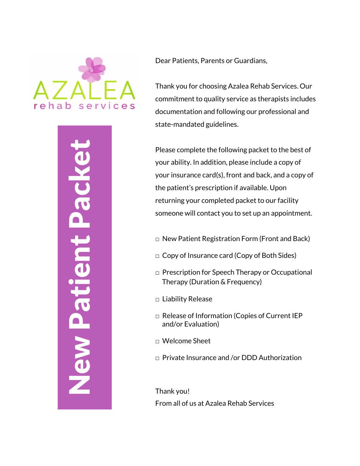

New Patient Packet **Vew Patient Pack**  Dear Patients, Parents or Guardians,

Thank you for choosing Azalea Rehab Services. Our commitment to quality service as therapists includes documentation and following our professional and state -mandated guidelines.

Please complete the following packet to the best of your ability. In addition, please include a copy of your insurance card(s), front and back, and a copy of the patient's prescription if available. Upon returning your completed packet to our facility someone will contact you to set up an appointment.

- $\Box$  New Patient Registration Form (Front and Back)
- $\Box$  Copy of Insurance card (Copy of Both Sides)
- □ Prescription for Speech Therapy or Occupational Therapy (Duration & Frequency)
- □ Liability Release
- □ Release of Information (Copies of Current IEP and/or Evaluation)
- □ Welcome Sheet
- □ Private Insurance and /or DDD Authorization

Thank you! From all of us at Azalea Rehab Services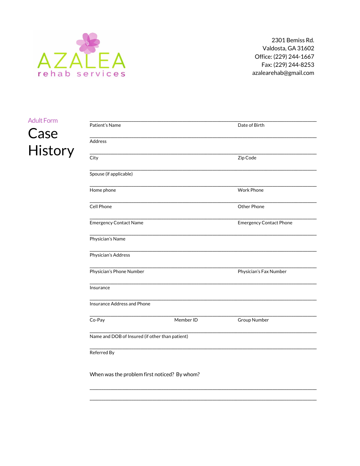

## **Adult Form**

# Case History

| Patient's Name                                  |           | Date of Birth                  |  |
|-------------------------------------------------|-----------|--------------------------------|--|
| Address                                         |           |                                |  |
| City                                            |           | Zip Code                       |  |
| Spouse (if applicable)                          |           |                                |  |
| Home phone                                      |           | <b>Work Phone</b>              |  |
| Cell Phone                                      |           | Other Phone                    |  |
| <b>Emergency Contact Name</b>                   |           | <b>Emergency Contact Phone</b> |  |
| Physician's Name                                |           |                                |  |
| Physician's Address                             |           |                                |  |
| Physician's Phone Number                        |           | Physician's Fax Number         |  |
| Insurance                                       |           |                                |  |
| Insurance Address and Phone                     |           |                                |  |
| Co-Pay                                          | Member ID | Group Number                   |  |
| Name and DOB of Insured (if other than patient) |           |                                |  |
| Referred By                                     |           |                                |  |
| When was the problem first noticed? By whom?    |           |                                |  |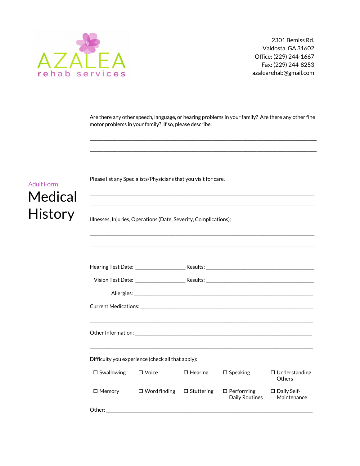

Are there any other speech, language, or hearing problems in your family? Are there any other fine motor problems in your family? If so, please describe.

\_\_\_\_\_\_\_\_\_\_\_\_\_\_\_\_\_\_\_\_\_\_\_\_\_\_\_\_\_\_\_\_\_\_\_\_\_\_\_\_\_\_\_\_\_\_\_\_\_\_\_\_\_\_\_\_\_\_\_\_\_\_\_\_\_\_\_\_\_\_\_\_\_\_\_\_\_\_\_\_\_\_\_\_\_\_\_\_\_\_\_\_\_\_\_\_\_\_ \_\_\_\_\_\_\_\_\_\_\_\_\_\_\_\_\_\_\_\_\_\_\_\_\_\_\_\_\_\_\_\_\_\_\_\_\_\_\_\_\_\_\_\_\_\_\_\_\_\_\_\_\_\_\_\_\_\_\_\_\_\_\_\_\_\_\_\_\_\_\_\_\_\_\_\_\_\_\_\_\_\_\_\_\_\_\_\_\_\_\_\_\_\_\_\_\_\_

| <b>Adult Form</b><br>Medical |                                                                  | Please list any Specialists/Physicians that you visit for care.                                                                                                                                                                |  |
|------------------------------|------------------------------------------------------------------|--------------------------------------------------------------------------------------------------------------------------------------------------------------------------------------------------------------------------------|--|
| <b>History</b>               | Illnesses, Injuries, Operations (Date, Severity, Complications): |                                                                                                                                                                                                                                |  |
|                              |                                                                  |                                                                                                                                                                                                                                |  |
|                              | Hearing Test Date:                                               |                                                                                                                                                                                                                                |  |
|                              | Vision Test Date: ________________                               | Results: The contract of the contract of the contract of the contract of the contract of the contract of the contract of the contract of the contract of the contract of the contract of the contract of the contract of the c |  |
|                              |                                                                  | Allergies: the contract of the contract of the contract of the contract of the contract of the contract of the contract of the contract of the contract of the contract of the contract of the contract of the contract of the |  |

|                                                   | Hearing Test Date:                    |                   |                                                                                  |                                       |
|---------------------------------------------------|---------------------------------------|-------------------|----------------------------------------------------------------------------------|---------------------------------------|
|                                                   |                                       |                   | Vision Test Date: __________________________Results:____________________________ |                                       |
|                                                   |                                       |                   |                                                                                  |                                       |
|                                                   |                                       |                   |                                                                                  |                                       |
|                                                   |                                       |                   |                                                                                  |                                       |
|                                                   |                                       |                   |                                                                                  |                                       |
|                                                   |                                       |                   |                                                                                  |                                       |
| Difficulty you experience (check all that apply): |                                       |                   |                                                                                  |                                       |
| $\square$ Swallowing                              | $\square$ Voice                       | $\square$ Hearing | $\square$ Speaking                                                               | $\Box$ Understanding<br><b>Others</b> |
| $\square$ Memory                                  | $\Box$ Word finding $\Box$ Stuttering |                   | $\Box$ Performing<br>Daily Routines                                              | □ Daily Self-<br>Maintenance          |
| Other:                                            |                                       |                   |                                                                                  |                                       |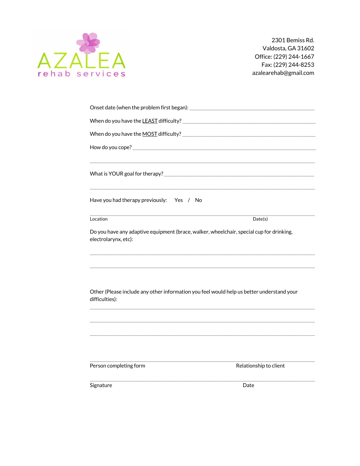

| Onset date (when the problem first began):                                                                       |                        |
|------------------------------------------------------------------------------------------------------------------|------------------------|
|                                                                                                                  |                        |
|                                                                                                                  |                        |
|                                                                                                                  |                        |
|                                                                                                                  |                        |
| Have you had therapy previously: Yes / No                                                                        |                        |
| Location                                                                                                         | Date(s)                |
| Do you have any adaptive equipment (brace, walker, wheelchair, special cup for drinking,<br>electrolarynx, etc): |                        |
| Other (Please include any other information you feel would help us better understand your                        |                        |
| difficulties):                                                                                                   |                        |
| Person completing form                                                                                           | Relationship to client |
| Signature                                                                                                        | Date                   |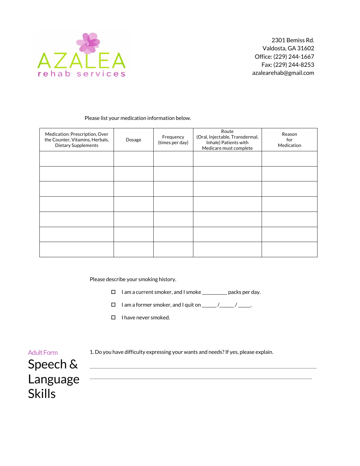

#### Please list your medication information below.

| Medication: Prescription, Over<br>the Counter, Vitamins, Herbals,<br><b>Dietary Supplements</b> | Dosage | Frequency<br>(times per day) | Route<br>(Oral, Injectable, Transdermal,<br>Inhale) Patients with<br>Medicare must complete | Reason<br>for<br>Medication |
|-------------------------------------------------------------------------------------------------|--------|------------------------------|---------------------------------------------------------------------------------------------|-----------------------------|
|                                                                                                 |        |                              |                                                                                             |                             |
|                                                                                                 |        |                              |                                                                                             |                             |
|                                                                                                 |        |                              |                                                                                             |                             |
|                                                                                                 |        |                              |                                                                                             |                             |
|                                                                                                 |        |                              |                                                                                             |                             |
|                                                                                                 |        |                              |                                                                                             |                             |
|                                                                                                 |        |                              |                                                                                             |                             |

Please describe your smoking history.

- $\square$  I am a current smoker, and I smoke  $\_\_\_\_\_\_\_\_\$  packs per day.
- o I am a former smoker, and I quit on \_\_\_\_\_\_\_ /\_\_\_\_\_\_\_ / \_\_\_\_\_\_.
- $\Box$  I have never smoked.

 $\mathcal{L}_\text{max}$  and the set of the set of the set of the set of the set of the set of the set of the set of the set of the set of the set of the set of the set of the set of the set of the set of the set of the set of the s

1. Do you have difficulty expressing your wants and needs? If yes, please explain.

 $\Box$ 

## Adult Form Speech & Language Skills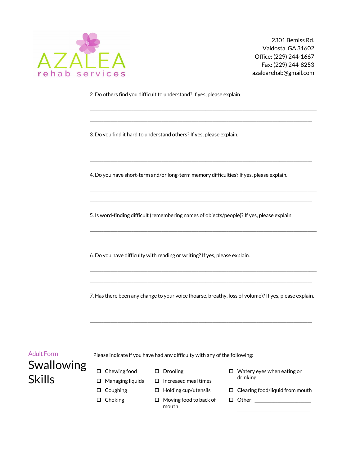

2. Do others find you difficult to understand? If yes, please explain.

3. Do you find it hard to understand others? If yes, please explain.

4. Do you have short-term and/or long-term memory difficulties? If yes, please explain.

 $\_$  ,  $\_$  ,  $\_$  ,  $\_$  ,  $\_$  ,  $\_$  ,  $\_$  ,  $\_$  ,  $\_$  ,  $\_$  ,  $\_$  ,  $\_$  ,  $\_$  ,  $\_$  ,  $\_$  ,  $\_$  ,  $\_$  ,  $\_$  ,  $\_$  ,  $\_$  ,  $\_$  ,  $\_$  ,  $\_$  ,  $\_$  ,  $\_$  ,  $\_$  ,  $\_$  ,  $\_$  ,  $\_$  ,  $\_$  ,  $\_$  ,  $\_$  ,  $\_$  ,  $\_$  ,  $\_$  ,  $\_$  ,  $\_$  ,  $\_$  ,  $\_$  ,  $\_$  ,  $\_$  ,  $\_$  ,  $\_$  ,  $\_$  ,  $\_$  ,  $\_$  ,  $\_$  ,  $\_$  ,  $\_$  ,  $\_$  ,  $\_$  ,  $\_$  ,  $\_$  ,  $\_$  ,  $\_$  ,  $\_$  ,  $\_$  ,  $\_$  ,  $\_$  ,  $\_$  ,  $\_$  ,  $\_$  ,  $\_$  ,  $\_$  ,  $\_$  ,  $\_$  ,  $\_$  ,  $\_$  ,  $\_$  ,  $\_$  ,  $\_$  ,  $\_$  ,  $\_$  ,  $\_$  ,

 $\_$  ,  $\_$  ,  $\_$  ,  $\_$  ,  $\_$  ,  $\_$  ,  $\_$  ,  $\_$  ,  $\_$  ,  $\_$  ,  $\_$  ,  $\_$  ,  $\_$  ,  $\_$  ,  $\_$  ,  $\_$  ,  $\_$  ,  $\_$  ,  $\_$  ,  $\_$  $\_$  ,  $\_$  ,  $\_$  ,  $\_$  ,  $\_$  ,  $\_$  ,  $\_$  ,  $\_$  ,  $\_$  ,  $\_$  ,  $\_$  ,  $\_$  ,  $\_$  ,  $\_$  ,  $\_$  ,  $\_$  ,  $\_$  ,  $\_$  ,  $\_$  ,  $\_$ 

 $\_$  ,  $\_$  ,  $\_$  ,  $\_$  ,  $\_$  ,  $\_$  ,  $\_$  ,  $\_$  ,  $\_$  ,  $\_$  ,  $\_$  ,  $\_$  ,  $\_$  ,  $\_$  ,  $\_$  ,  $\_$  ,  $\_$  ,  $\_$  ,  $\_$  ,  $\_$  $\_$  ,  $\_$  ,  $\_$  ,  $\_$  ,  $\_$  ,  $\_$  ,  $\_$  ,  $\_$  ,  $\_$  ,  $\_$  ,  $\_$  ,  $\_$  ,  $\_$  ,  $\_$  ,  $\_$  ,  $\_$  ,  $\_$  ,  $\_$  ,  $\_$  ,  $\_$  ,  $\_$  ,  $\_$  ,  $\_$  ,  $\_$  ,  $\_$  ,  $\_$  ,  $\_$  ,  $\_$  ,  $\_$  ,  $\_$  ,  $\_$  ,  $\_$  ,  $\_$  ,  $\_$  ,  $\_$  ,  $\_$  ,  $\_$  ,

\_\_\_\_\_\_\_\_\_\_\_\_\_\_\_\_\_\_\_\_\_\_\_\_\_\_\_\_\_\_\_\_\_\_\_\_\_\_\_\_\_\_\_\_\_\_\_\_\_\_\_\_\_\_\_\_\_\_\_\_\_\_\_\_\_\_\_\_\_\_\_\_\_\_\_\_\_\_\_\_\_\_\_\_\_\_\_\_\_\_\_\_\_\_\_\_\_\_ \_\_\_\_\_\_\_\_\_\_\_\_\_\_\_\_\_\_\_\_\_\_\_\_\_\_\_\_\_\_\_\_\_\_\_\_\_\_\_\_\_\_\_\_\_\_\_\_\_\_\_\_\_\_\_\_\_\_\_\_\_\_\_\_\_\_\_\_\_\_\_\_\_\_\_\_\_\_\_\_\_\_\_\_\_\_\_\_\_\_\_\_\_\_\_\_

5. Is word-finding difficult (remembering names of objects/people)? If yes, please explain

6. Do you have difficulty with reading or writing? If yes, please explain.

7. Has there been any change to your voice (hoarse, breathy, loss of volume)? If yes, please explain.

 $\_$  ,  $\_$  ,  $\_$  ,  $\_$  ,  $\_$  ,  $\_$  ,  $\_$  ,  $\_$  ,  $\_$  ,  $\_$  ,  $\_$  ,  $\_$  ,  $\_$  ,  $\_$  ,  $\_$  ,  $\_$  ,  $\_$  ,  $\_$  ,  $\_$  ,  $\_$  ,  $\_$  ,  $\_$  ,  $\_$  ,  $\_$  ,  $\_$  ,  $\_$  ,  $\_$  ,  $\_$  ,  $\_$  ,  $\_$  ,  $\_$  ,  $\_$  ,  $\_$  ,  $\_$  ,  $\_$  ,  $\_$  ,  $\_$  ,  $\_$  ,  $\_$  ,  $\_$  ,  $\_$  ,  $\_$  ,  $\_$  ,  $\_$  ,  $\_$  ,  $\_$  ,  $\_$  ,  $\_$  ,  $\_$  ,  $\_$  ,  $\_$  ,  $\_$  ,  $\_$  ,  $\_$  ,  $\_$  ,  $\_$  ,  $\_$  ,  $\_$  ,  $\_$  ,  $\_$  ,  $\_$  ,  $\_$  ,  $\_$  ,  $\_$  ,  $\_$  ,  $\_$  ,  $\_$  ,  $\_$  ,  $\_$  ,  $\_$  ,  $\_$  ,  $\_$  ,  $\_$  ,  $\_$  ,

 $\_$  ,  $\_$  ,  $\_$  ,  $\_$  ,  $\_$  ,  $\_$  ,  $\_$  ,  $\_$  ,  $\_$  ,  $\_$  ,  $\_$  ,  $\_$  ,  $\_$  ,  $\_$  ,  $\_$  ,  $\_$  ,  $\_$  ,  $\_$  ,  $\_$  ,  $\_$  $\Box$ 

### Adult Form

Please indicate if you have had any difficulty with any of the following:

- Swallowing Skills  $\square$  Managing liquids
	- $\square$  Chewing food
- D Drooling
- $\square$  Increased meal times
- $\square$  Coughing
- $\square$  Choking
- $\Box$  Holding cup/utensils
- $\Box$  Moving food to back of mouth
- $\square$  Watery eyes when eating or drinking
- $\Box$  Clearing food/liquid from mouth

o Other: \_\_\_\_\_\_\_\_\_\_\_\_\_\_\_\_\_\_\_\_\_\_\_\_\_\_\_

\_\_\_\_\_\_\_\_\_\_\_\_\_\_\_\_\_\_\_\_\_\_\_\_\_\_\_\_\_\_\_\_\_\_\_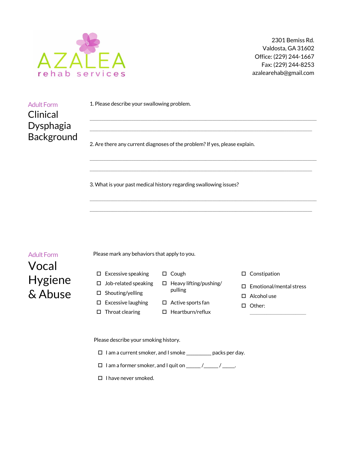

| <b>Adult Form</b> | 1. Please describe your swallowing problem.                             |
|-------------------|-------------------------------------------------------------------------|
| Clinical          |                                                                         |
| Dysphagia         |                                                                         |
| Background        | 2 Are there any current diagnoses of the problem? If yes please explain |

2. Are there any current diagnoses of the problem? If yes, please explain.

\_\_\_\_\_\_\_\_\_\_\_\_\_\_\_\_\_\_\_\_\_\_\_\_\_\_\_\_\_\_\_\_\_\_\_\_\_\_\_\_\_\_\_\_\_\_\_\_\_\_\_\_\_\_\_\_\_\_\_\_\_\_\_\_\_\_\_\_\_\_\_\_\_\_\_\_\_\_\_\_\_\_\_\_\_\_\_\_\_\_\_\_\_\_\_\_\_\_ \_\_\_\_\_\_\_\_\_\_\_\_\_\_\_\_\_\_\_\_\_\_\_\_\_\_\_\_\_\_\_\_\_\_\_\_\_\_\_\_\_\_\_\_\_\_\_\_\_\_\_\_\_\_\_\_\_\_\_\_\_\_\_\_\_\_\_\_\_\_\_\_\_\_\_\_\_\_\_\_\_\_\_\_\_\_\_\_\_\_\_\_\_\_\_\_

 $\_$  ,  $\_$  ,  $\_$  ,  $\_$  ,  $\_$  ,  $\_$  ,  $\_$  ,  $\_$  ,  $\_$  ,  $\_$  ,  $\_$  ,  $\_$  ,  $\_$  ,  $\_$  ,  $\_$  ,  $\_$  ,  $\_$  ,  $\_$  ,  $\_$  ,  $\_$  $\Box$ 

3. What is your past medical history regarding swallowing issues?

Adult Form Vocal Hygiene

& Abuse

Please mark any behaviors that apply to you.

- $\square$  Excessive speaking
- $\square$  Job-related speaking
- $\square$  Shouting/yelling
- $\square$  Excessive laughing
- $\square$  Throat clearing
- $\square$  Cough
- $\square$  Heavy lifting/pushing/ pulling
- $\square$  Active sports fan
- $\square$  Heartburn/reflux

 $\square$  Constipation

- $\square$  Emotional/mental stress
- $\square$  Alcohol use
- □ Other: \_\_\_\_\_\_\_\_\_\_\_\_\_\_\_\_\_\_\_\_\_\_\_\_\_\_\_

Please describe your smoking history.

- $\square$  I am a current smoker, and I smoke \_\_\_\_\_\_\_\_\_\_ packs per day.
- $\Box$  I am a former smoker, and I quit on \_\_\_\_\_\_ /\_\_\_\_\_ / \_\_\_\_\_.
- $\square$  I have never smoked.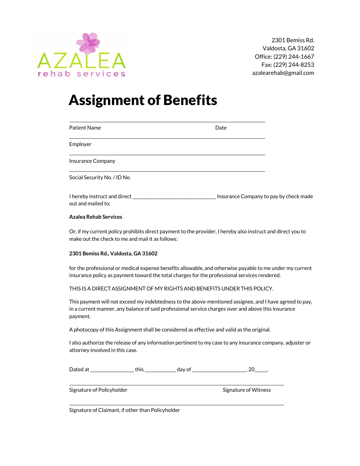

## Assignment of Benefits

| Patient Name                                                                | Date                                   |  |
|-----------------------------------------------------------------------------|----------------------------------------|--|
| Employer                                                                    |                                        |  |
| Insurance Company                                                           |                                        |  |
| Social Security No. / ID No.                                                |                                        |  |
| I hereby instruct and direct ________________________<br>out and mailed to: | Insurance Company to pay by check made |  |

#### **Azalea Rehab Services**

Or, if my current policy prohibits direct payment to the provider, I hereby also instruct and direct you to make out the check to me and mail it as follows:

#### **2301 Bemiss Rd., Valdosta, GA 31602**

for the professional or medical expense benefits allowable, and otherwise payable to me under my current insurance policy as payment toward the total charges for the professional services rendered.

#### THIS IS A DIRECT ASSIGNMENT OF MY RIGHTS AND BENEFITS UNDER THIS POLICY.

This payment will not exceed my indebtedness to the above-mentioned assignee, and I have agreed to pay, in a current manner, any balance of said professional service charges over and above this insurance payment.

A photocopy of this Assignment shall be considered as effective and valid as the original.

I also authorize the release of any information pertinent to my case to any insurance company, adjuster or attorney involved in this case.

Dated at \_\_\_\_\_\_\_\_\_\_\_\_\_\_\_\_\_\_\_\_\_ this \_\_\_\_\_\_\_\_\_\_\_\_\_\_\_ day of \_\_\_\_\_\_\_\_\_\_\_\_\_\_\_\_\_\_\_\_\_\_\_\_\_\_, 20\_\_\_\_\_\_.

\_\_\_\_\_\_\_\_\_\_\_\_\_\_\_\_\_\_\_\_\_\_\_\_\_\_\_\_\_\_\_\_\_\_\_\_\_\_\_\_\_\_\_\_\_\_\_\_\_\_\_\_\_\_\_\_\_\_\_\_\_\_\_\_\_\_\_\_\_\_\_\_\_\_\_\_\_\_\_\_\_\_\_\_\_\_\_\_\_\_\_\_\_\_\_\_\_\_\_\_\_\_\_

\_\_\_\_\_\_\_\_\_\_\_\_\_\_\_\_\_\_\_\_\_\_\_\_\_\_\_\_\_\_\_\_\_\_\_\_\_\_\_\_\_\_\_\_\_\_\_\_\_\_\_\_\_\_\_\_\_\_\_\_\_\_\_\_\_\_\_\_\_\_\_\_\_\_\_\_\_\_\_\_\_\_\_\_\_\_\_\_\_\_\_\_\_\_\_\_\_\_\_\_\_\_\_

Signature of Policyholder Signature of Witness Signature of Witness

Signature of Claimant, if other than Policyholder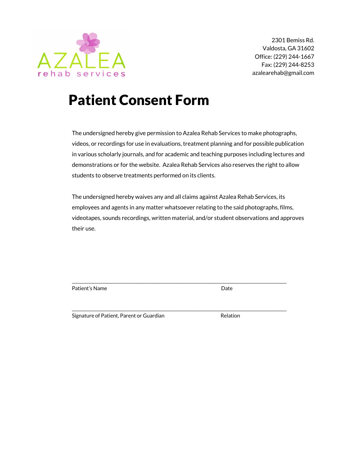

# Patient Consent Form

The undersigned hereby give permission to Azalea Rehab Services to make photographs, videos, or recordings for use in evaluations, treatment planning and for possible publication in various scholarly journals, and for academic and teaching purposes including lectures and demonstrations or for the website. Azalea Rehab Services also reserves the right to allow students to observe treatments performed on its clients.

The undersigned hereby waives any and all claims against Azalea Rehab Services, its employees and agents in any matter whatsoever relating to the said photographs, films, videotapes, sounds recordings, written material, and/or student observations and approves their use.

\_\_\_\_\_\_\_\_\_\_\_\_\_\_\_\_\_\_\_\_\_\_\_\_\_\_\_\_\_\_\_\_\_\_\_\_\_\_\_\_\_\_\_\_\_\_\_\_\_\_\_\_\_\_\_\_\_\_\_\_\_\_\_\_\_\_\_\_\_\_\_\_\_\_\_\_\_\_\_\_\_\_\_\_\_\_\_\_\_\_\_\_\_\_\_\_\_\_\_\_\_\_\_

\_\_\_\_\_\_\_\_\_\_\_\_\_\_\_\_\_\_\_\_\_\_\_\_\_\_\_\_\_\_\_\_\_\_\_\_\_\_\_\_\_\_\_\_\_\_\_\_\_\_\_\_\_\_\_\_\_\_\_\_\_\_\_\_\_\_\_\_\_\_\_\_\_\_\_\_\_\_\_\_\_\_\_\_\_\_\_\_\_\_\_\_\_\_\_\_\_\_\_\_\_\_\_

Patient's Name Date

Signature of Patient, Parent or Guardian Theorem and Relation